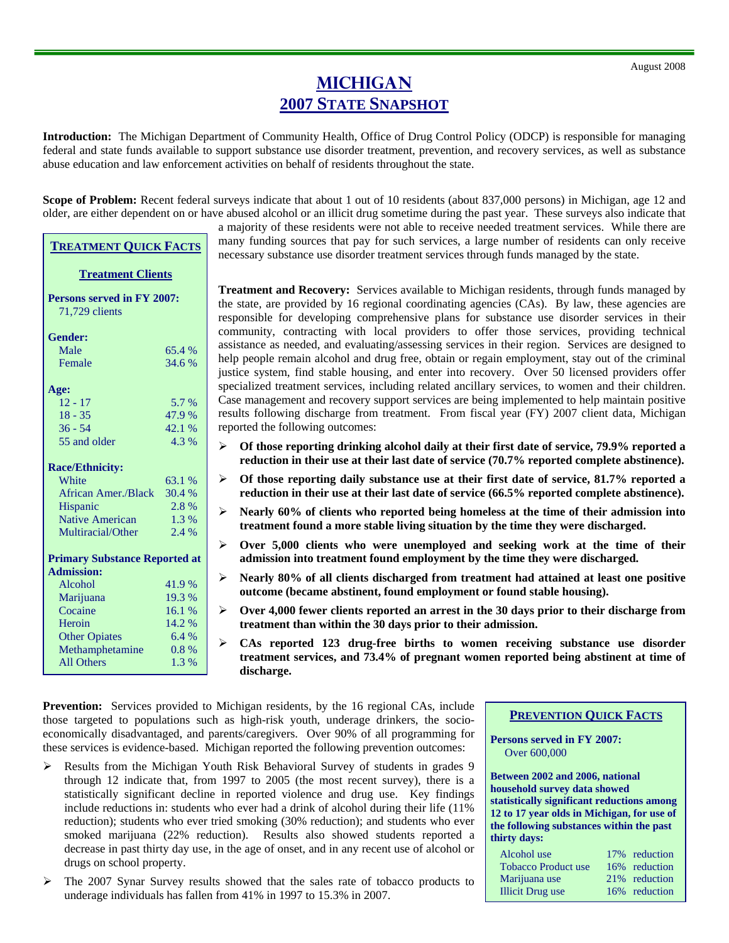## **MICHIGAN 2007 STATE SNAPSHOT**

**Introduction:** The Michigan Department of Community Health, Office of Drug Control Policy (ODCP) is responsible for managing federal and state funds available to support substance use disorder treatment, prevention, and recovery services, as well as substance abuse education and law enforcement activities on behalf of residents throughout the state.

**Scope of Problem:** Recent federal surveys indicate that about 1 out of 10 residents (about 837,000 persons) in Michigan, age 12 and older, are either dependent on or have abused alcohol or an illicit drug sometime during the past year. These surveys also indicate that

> a majority of these residents were not able to receive needed treatment services. While there are many funding sources that pay for such services, a large number of residents can only receive necessary substance use disorder treatment services through funds managed by the state.

> **Treatment and Recovery:** Services available to Michigan residents, through funds managed by the state, are provided by 16 regional coordinating agencies (CAs). By law, these agencies are responsible for developing comprehensive plans for substance use disorder services in their community, contracting with local providers to offer those services, providing technical assistance as needed, and evaluating/assessing services in their region. Services are designed to help people remain alcohol and drug free, obtain or regain employment, stay out of the criminal justice system, find stable housing, and enter into recovery. Over 50 licensed providers offer specialized treatment services, including related ancillary services, to women and their children. Case management and recovery support services are being implemented to help maintain positive results following discharge from treatment. From fiscal year (FY) 2007 client data, Michigan reported the following outcomes:

- ¾ **Of those reporting drinking alcohol daily at their first date of service, 79.9% reported a reduction in their use at their last date of service (70.7% reported complete abstinence).**
- ¾ **Of those reporting daily substance use at their first date of service, 81.7% reported a reduction in their use at their last date of service (66.5% reported complete abstinence).**
- ¾ **Nearly 60% of clients who reported being homeless at the time of their admission into treatment found a more stable living situation by the time they were discharged.**
- ¾ **Over 5,000 clients who were unemployed and seeking work at the time of their admission into treatment found employment by the time they were discharged.**
- ¾ **Nearly 80% of all clients discharged from treatment had attained at least one positive outcome (became abstinent, found employment or found stable housing).**
- ¾ **Over 4,000 fewer clients reported an arrest in the 30 days prior to their discharge from treatment than within the 30 days prior to their admission.**
- ¾ **CAs reported 123 drug-free births to women receiving substance use disorder treatment services, and 73.4% of pregnant women reported being abstinent at time of discharge.**

**Prevention:** Services provided to Michigan residents, by the 16 regional CAs, include those targeted to populations such as high-risk youth, underage drinkers, the socioeconomically disadvantaged, and parents/caregivers. Over 90% of all programming for these services is evidence-based. Michigan reported the following prevention outcomes:

- ¾ Results from the Michigan Youth Risk Behavioral Survey of students in grades 9 through 12 indicate that, from 1997 to 2005 (the most recent survey), there is a statistically significant decline in reported violence and drug use. Key findings include reductions in: students who ever had a drink of alcohol during their life (11% reduction); students who ever tried smoking (30% reduction); and students who ever smoked marijuana (22% reduction). Results also showed students reported a decrease in past thirty day use, in the age of onset, and in any recent use of alcohol or drugs on school property.
- ¾ The 2007 Synar Survey results showed that the sales rate of tobacco products to underage individuals has fallen from 41% in 1997 to 15.3% in 2007.

**PREVENTION QUICK FACTS**

**Persons served in FY 2007:**  Over 600,000

**Between 2002 and 2006, national household survey data showed statistically significant reductions among 12 to 17 year olds in Michigan, for use of the following substances within the past thirty days:**

| 17% reduction |
|---------------|
| 16% reduction |
| 21% reduction |
| 16% reduction |
|               |

| Female                 | 34.6%  |
|------------------------|--------|
| Age:                   |        |
| $12 - 17$              | 5.7 %  |
| $18 - 35$              | 47.9 % |
| $36 - 54$              | 42.1%  |
| 55 and older           | 4.3 %  |
| <b>Race/Ethnicity:</b> |        |
| White                  | 63.1 % |

**TREATMENT QUICK FACTS**

**Treatment Clients**

Male 65.4 %

**Persons served in FY 2007:** 

71,729 clients

**Gender:** 

| <b>Race/Ethnicity:</b>               |        |  |  |
|--------------------------------------|--------|--|--|
| White                                | 63.1 % |  |  |
| African Amer./Black                  | 30.4 % |  |  |
| Hispanic                             | 2.8%   |  |  |
| <b>Native American</b>               | 1.3 %  |  |  |
| Multiracial/Other                    | 2.4 %  |  |  |
| <b>Primary Substance Reported at</b> |        |  |  |
| <b>Admission:</b>                    |        |  |  |
| Alcohol                              | 41.9%  |  |  |
| Marijuana                            | 19.3 % |  |  |
| Cocaine                              | 16.1%  |  |  |
| Heroin                               | 14.2 % |  |  |
| <b>Other Opiates</b>                 | 6.4%   |  |  |
| Methamphetamine                      | 0.8%   |  |  |
| All Others                           | 1.3%   |  |  |